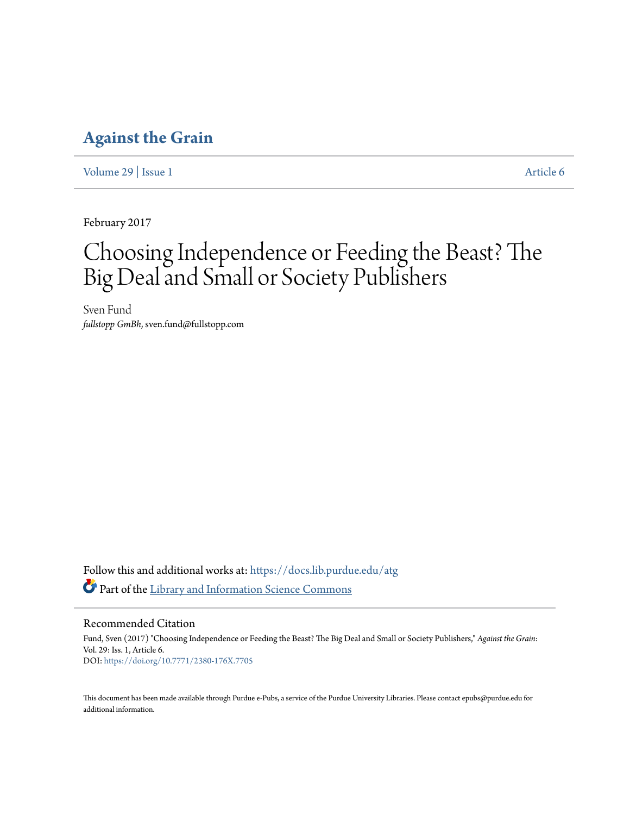### **[Against the Grain](https://docs.lib.purdue.edu/atg?utm_source=docs.lib.purdue.edu%2Fatg%2Fvol29%2Fiss1%2F6&utm_medium=PDF&utm_campaign=PDFCoverPages)**

[Volume 29](https://docs.lib.purdue.edu/atg/vol29?utm_source=docs.lib.purdue.edu%2Fatg%2Fvol29%2Fiss1%2F6&utm_medium=PDF&utm_campaign=PDFCoverPages) | [Issue 1](https://docs.lib.purdue.edu/atg/vol29/iss1?utm_source=docs.lib.purdue.edu%2Fatg%2Fvol29%2Fiss1%2F6&utm_medium=PDF&utm_campaign=PDFCoverPages) [Article 6](https://docs.lib.purdue.edu/atg/vol29/iss1/6?utm_source=docs.lib.purdue.edu%2Fatg%2Fvol29%2Fiss1%2F6&utm_medium=PDF&utm_campaign=PDFCoverPages)

February 2017

# Choosing Independence or Feeding the Beast? The Big Deal and Small or Society Publishers

Sven Fund *fullstopp GmBh*, sven.fund@fullstopp.com

Follow this and additional works at: [https://docs.lib.purdue.edu/atg](https://docs.lib.purdue.edu/atg?utm_source=docs.lib.purdue.edu%2Fatg%2Fvol29%2Fiss1%2F6&utm_medium=PDF&utm_campaign=PDFCoverPages) Part of the [Library and Information Science Commons](http://network.bepress.com/hgg/discipline/1018?utm_source=docs.lib.purdue.edu%2Fatg%2Fvol29%2Fiss1%2F6&utm_medium=PDF&utm_campaign=PDFCoverPages)

Recommended Citation

Fund, Sven (2017) "Choosing Independence or Feeding the Beast? The Big Deal and Small or Society Publishers," *Against the Grain*: Vol. 29: Iss. 1, Article 6. DOI: <https://doi.org/10.7771/2380-176X.7705>

This document has been made available through Purdue e-Pubs, a service of the Purdue University Libraries. Please contact epubs@purdue.edu for additional information.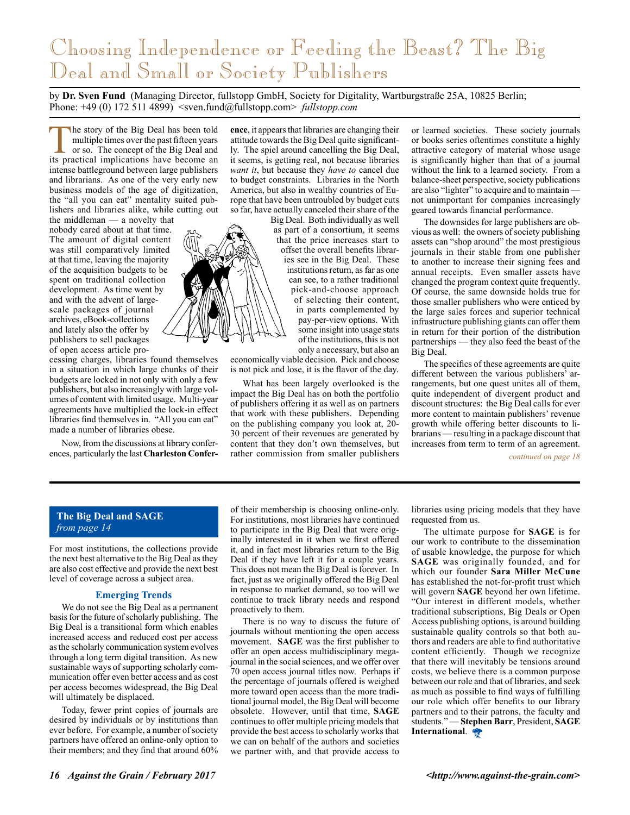## Choosing Independence or Feeding the Beast? The Big Deal and Small or Society Publishers

by **Dr. Sven Fund** (Managing Director, fullstopp GmbH, Society for Digitality, Wartburgstraße 25A, 10825 Berlin; Phone: +49 (0) 172 511 4899) <sven.fund@fullstopp.com> *fullstopp.com*

The story of the Big Deal has been told<br>multiple times over the past fifteen years<br>or so. The concept of the Big Deal and<br>its practical implications have become an multiple times over the past fifteen years or so. The concept of the Big Deal and its practical implications have become an intense battleground between large publishers and librarians. As one of the very early new business models of the age of digitization, the "all you can eat" mentality suited publishers and libraries alike, while cutting out

the middleman — a novelty that nobody cared about at that time. The amount of digital content was still comparatively limited at that time, leaving the majority of the acquisition budgets to be spent on traditional collection development. As time went by and with the advent of largescale packages of journal archives, eBook-collections and lately also the offer by publishers to sell packages of open access article pro-

cessing charges, libraries found themselves in a situation in which large chunks of their budgets are locked in not only with only a few publishers, but also increasingly with large volumes of content with limited usage. Multi-year agreements have multiplied the lock-in effect libraries find themselves in. "All you can eat" made a number of libraries obese.

Now, from the discussions at library conferences, particularly the last **Charleston Confer-**

**ence**, it appears that libraries are changing their attitude towards the Big Deal quite significantly. The spiel around cancelling the Big Deal, it seems, is getting real, not because libraries *want it*, but because they *have to* cancel due to budget constraints. Libraries in the North America, but also in wealthy countries of Europe that have been untroubled by budget cuts so far, have actually canceled their share of the

Big Deal. Both individually as well as part of a consortium, it seems that the price increases start to offset the overall benefits libraries see in the Big Deal. These institutions return, as far as one can see, to a rather traditional pick-and-choose approach of selecting their content, in parts complemented by pay-per-view options. With some insight into usage stats of the institutions, this is not only a necessary, but also an

economically viable decision. Pick and choose is not pick and lose, it is the flavor of the day.

What has been largely overlooked is the impact the Big Deal has on both the portfolio of publishers offering it as well as on partners that work with these publishers. Depending on the publishing company you look at, 20- 30 percent of their revenues are generated by content that they don't own themselves, but rather commission from smaller publishers

or learned societies. These society journals or books series oftentimes constitute a highly attractive category of material whose usage is significantly higher than that of a journal without the link to a learned society. From a balance-sheet perspective, society publications are also "lighter" to acquire and to maintain not unimportant for companies increasingly geared towards financial performance.

The downsides for large publishers are obvious as well: the owners of society publishing assets can "shop around" the most prestigious journals in their stable from one publisher to another to increase their signing fees and annual receipts. Even smaller assets have changed the program context quite frequently. Of course, the same downside holds true for those smaller publishers who were enticed by the large sales forces and superior technical infrastructure publishing giants can offer them in return for their portion of the distribution partnerships — they also feed the beast of the Big Deal.

The specifics of these agreements are quite different between the various publishers' arrangements, but one quest unites all of them, quite independent of divergent product and discount structures: the Big Deal calls for ever more content to maintain publishers' revenue growth while offering better discounts to librarians — resulting in a package discount that increases from term to term of an agreement.

*continued on page 18*

### **The Big Deal and SAGE** *from page 14*

For most institutions, the collections provide the next best alternative to the Big Deal as they are also cost effective and provide the next best level of coverage across a subject area.

#### **Emerging Trends**

We do not see the Big Deal as a permanent basis for the future of scholarly publishing. The Big Deal is a transitional form which enables increased access and reduced cost per access as the scholarly communication system evolves through a long term digital transition. As new sustainable ways of supporting scholarly communication offer even better access and as cost per access becomes widespread, the Big Deal will ultimately be displaced.

Today, fewer print copies of journals are desired by individuals or by institutions than ever before. For example, a number of society partners have offered an online-only option to their members; and they find that around 60%

of their membership is choosing online-only. For institutions, most libraries have continued to participate in the Big Deal that were originally interested in it when we first offered it, and in fact most libraries return to the Big Deal if they have left it for a couple years. This does not mean the Big Deal is forever. In fact, just as we originally offered the Big Deal in response to market demand, so too will we continue to track library needs and respond proactively to them.

There is no way to discuss the future of journals without mentioning the open access movement. **SAGE** was the first publisher to offer an open access multidisciplinary megajournal in the social sciences, and we offer over 70 open access journal titles now. Perhaps if the percentage of journals offered is weighed more toward open access than the more traditional journal model, the Big Deal will become obsolete. However, until that time, **SAGE** continues to offer multiple pricing models that provide the best access to scholarly works that we can on behalf of the authors and societies we partner with, and that provide access to

libraries using pricing models that they have requested from us.

The ultimate purpose for **SAGE** is for our work to contribute to the dissemination of usable knowledge, the purpose for which **SAGE** was originally founded, and for which our founder **Sara Miller McCune** has established the not-for-profit trust which will govern **SAGE** beyond her own lifetime. "Our interest in different models, whether traditional subscriptions, Big Deals or Open Access publishing options, is around building sustainable quality controls so that both authors and readers are able to find authoritative content efficiently. Though we recognize that there will inevitably be tensions around costs, we believe there is a common purpose between our role and that of libraries, and seek as much as possible to find ways of fulfilling our role which offer benefits to our library partners and to their patrons, the faculty and students." — **Stephen Barr**, President, **SAGE International**.